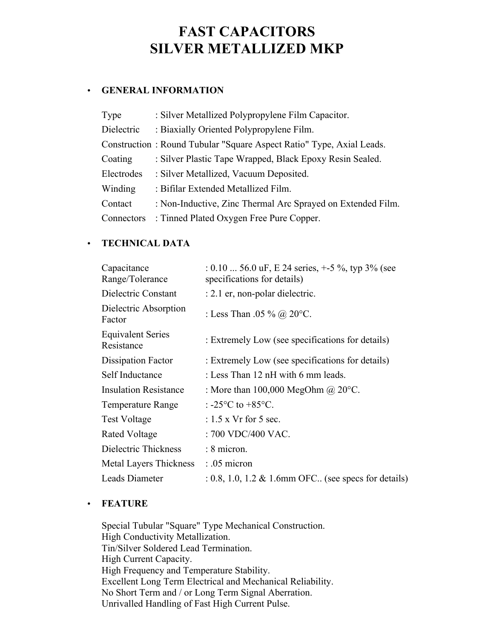# **FAST CAPACITORS SILVER METALLIZED MKP**

## • **GENERAL INFORMATION**

| Type       | : Silver Metallized Polypropylene Film Capacitor.                    |
|------------|----------------------------------------------------------------------|
| Dielectric | : Biaxially Oriented Polypropylene Film.                             |
|            | Construction: Round Tubular "Square Aspect Ratio" Type, Axial Leads. |
| Coating    | : Silver Plastic Tape Wrapped, Black Epoxy Resin Sealed.             |
| Electrodes | : Silver Metallized, Vacuum Deposited.                               |
| Winding    | : Bifilar Extended Metallized Film.                                  |
| Contact    | : Non-Inductive, Zinc Thermal Arc Sprayed on Extended Film.          |
| Connectors | : Tinned Plated Oxygen Free Pure Copper.                             |

## • **TECHNICAL DATA**

| Capacitance<br>Range/Tolerance         | : 0.10  56.0 uF, E 24 series, $+$ -5 %, typ 3% (see<br>specifications for details) |
|----------------------------------------|------------------------------------------------------------------------------------|
| Dielectric Constant                    | : 2.1 er, non-polar dielectric.                                                    |
| Dielectric Absorption<br>Factor        | : Less Than .05 % @ $20^{\circ}$ C.                                                |
| <b>Equivalent Series</b><br>Resistance | : Extremely Low (see specifications for details)                                   |
| Dissipation Factor                     | : Extremely Low (see specifications for details)                                   |
| Self Inductance                        | : Less Than 12 nH with 6 mm leads.                                                 |
| <b>Insulation Resistance</b>           | : More than $100,000$ MegOhm $\omega$ 20°C.                                        |
| <b>Temperature Range</b>               | : $-25^{\circ}$ C to $+85^{\circ}$ C.                                              |
| <b>Test Voltage</b>                    | $: 1.5$ x Vr for 5 sec.                                                            |
| Rated Voltage                          | : 700 VDC/400 VAC.                                                                 |
| Dielectric Thickness                   | $: 8$ micron.                                                                      |
| <b>Metal Layers Thickness</b>          | $: .05$ micron                                                                     |
| Leads Diameter                         | $: 0.8, 1.0, 1.2 \& 1.6$ mm OFC (see specs for details)                            |

### • **FEATURE**

Special Tubular "Square" Type Mechanical Construction. High Conductivity Metallization. Tin/Silver Soldered Lead Termination. High Current Capacity. High Frequency and Temperature Stability. Excellent Long Term Electrical and Mechanical Reliability. No Short Term and / or Long Term Signal Aberration. Unrivalled Handling of Fast High Current Pulse.